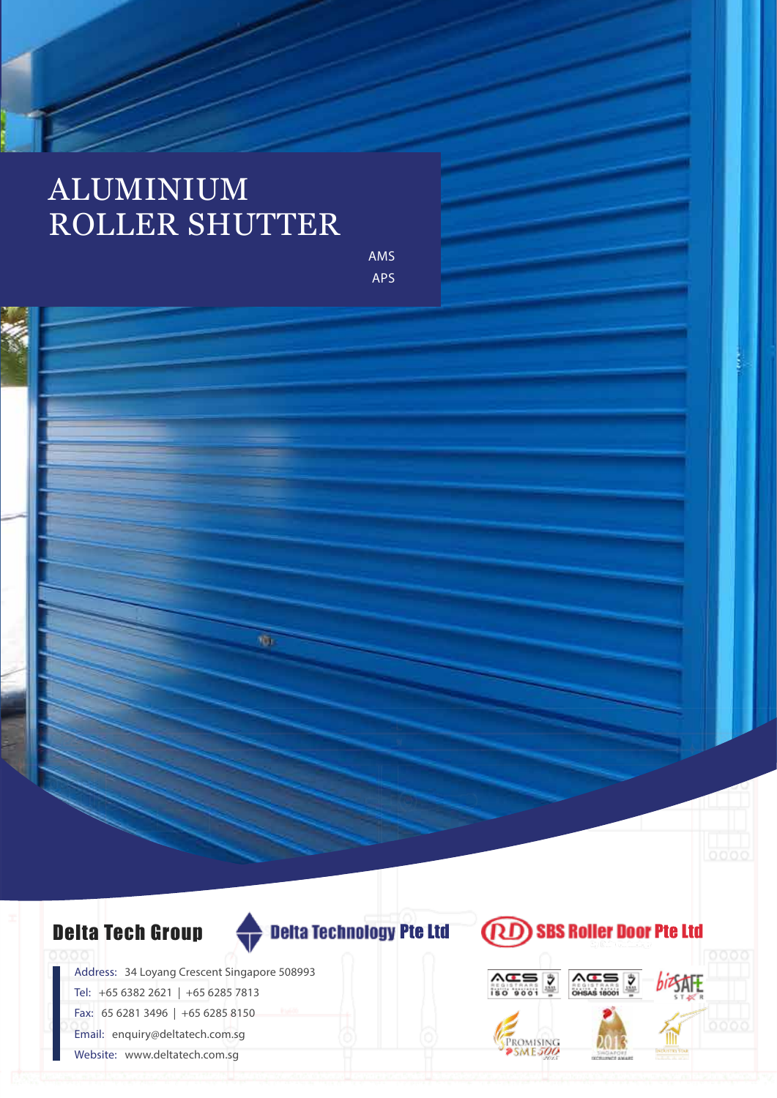## ALUMINIUM ROLLER SHUTTER

AMS APS



ŵ,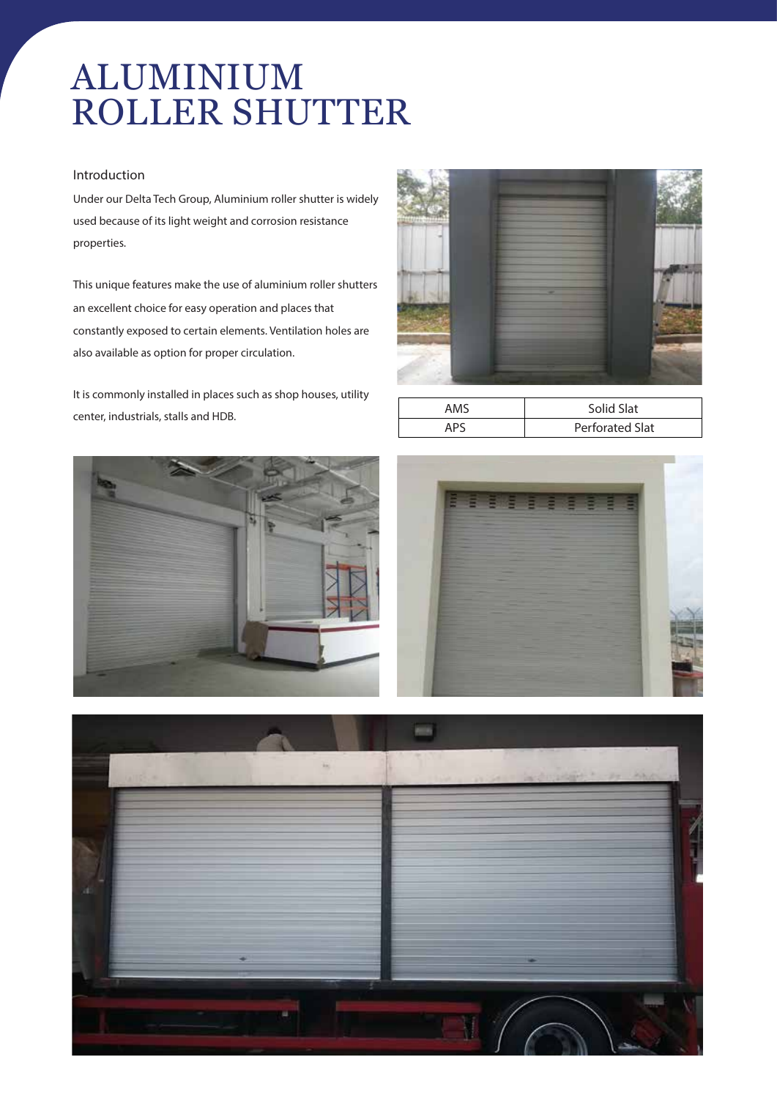# ALUMINIUM ROLLER SHUTTER

#### **Introduction**

Under our Delta Tech Group, Aluminium roller shutter is widely used because of its light weight and corrosion resistance properties.

This unique features make the use of aluminium roller shutters an excellent choice for easy operation and places that constantly exposed to certain elements. Ventilation holes are also available as option for proper circulation.

It is commonly installed in places such as shop houses, utility center, industrials, stalls and HDB.



| AMS   | Solid Slat      |  |
|-------|-----------------|--|
| 1 D C | Perforated Slat |  |





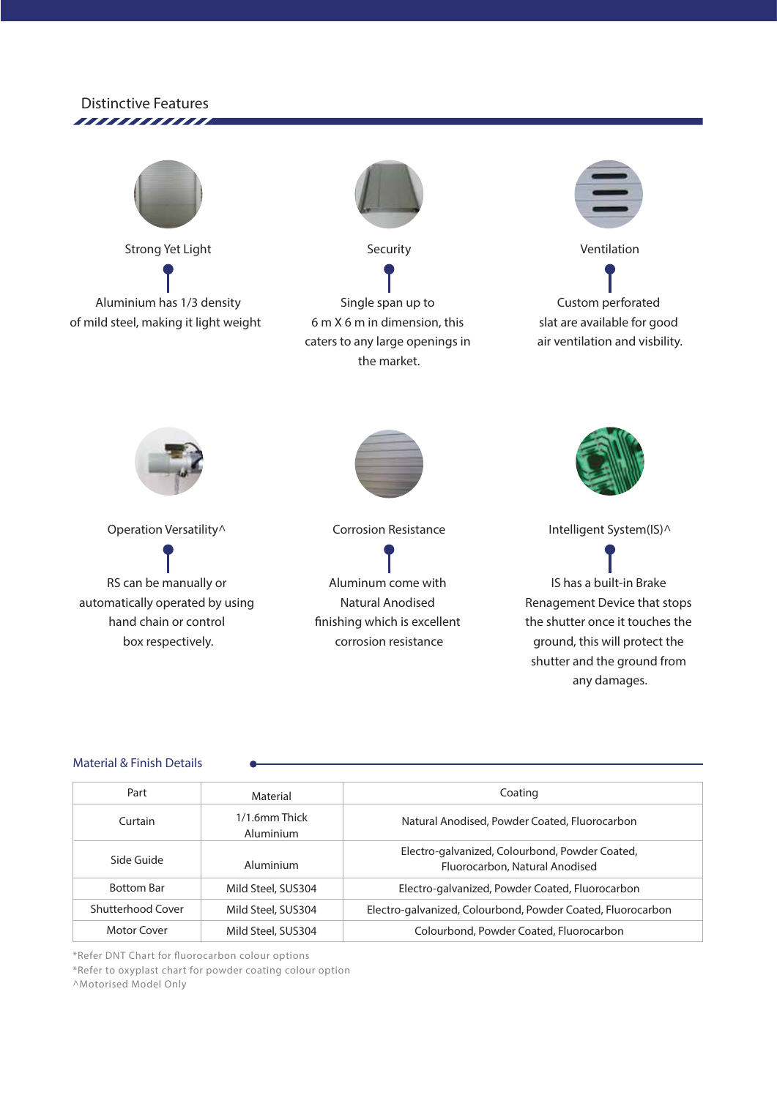



#### **Material & Finish Details**

| Part              | Material                   | Coating<br>Natural Anodised, Powder Coated, Fluorocarbon                         |  |
|-------------------|----------------------------|----------------------------------------------------------------------------------|--|
| Curtain           | 1/1.6mm Thick<br>Aluminium |                                                                                  |  |
| Side Guide        | Aluminium                  | Electro-galvanized, Colourbond, Powder Coated,<br>Fluorocarbon, Natural Anodised |  |
| <b>Bottom Bar</b> | Mild Steel, SUS304         | Electro-galvanized, Powder Coated, Fluorocarbon                                  |  |
| Shutterhood Cover | Mild Steel, SUS304         | Electro-galvanized, Colourbond, Powder Coated, Fluorocarbon                      |  |
| Motor Cover       | Mild Steel, SUS304         | Colourbond, Powder Coated, Fluorocarbon                                          |  |

*\*Refer DNT Chart for uorocarbon colour options*

*\*Refer to oxyplast chart for powder coating colour option*

*^Motorised Model Only*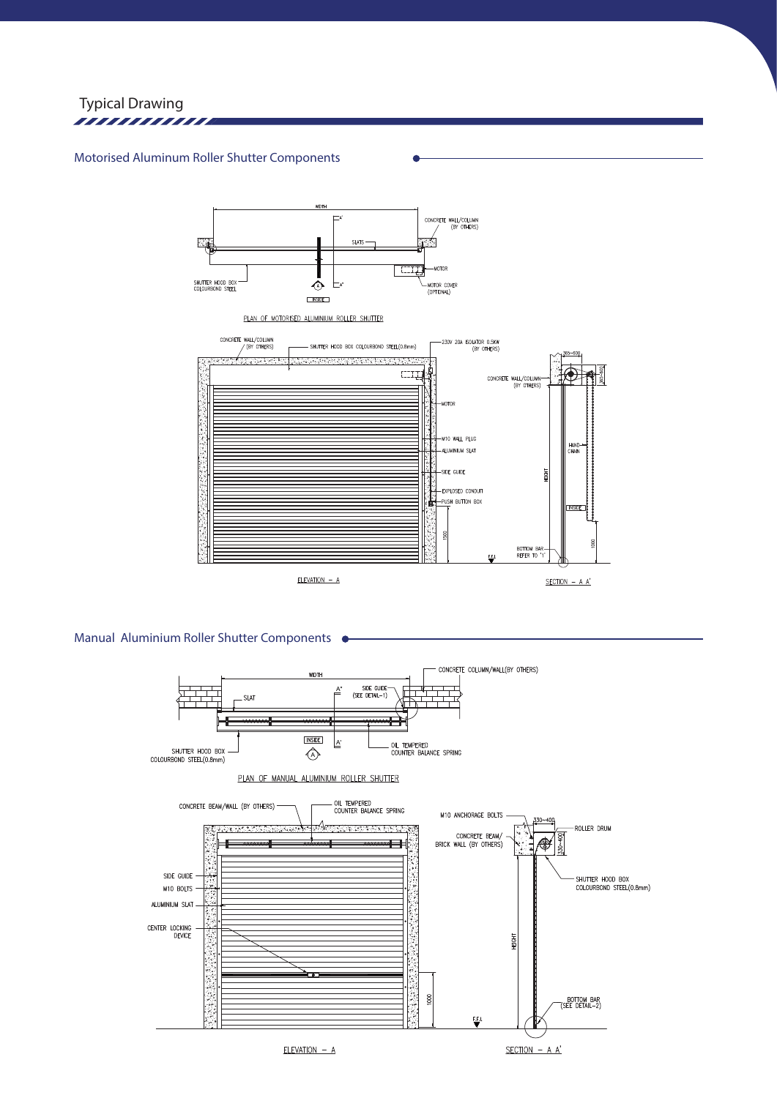

#### **Motorised Aluminum Roller Shutter Components**



**Manual Aluminium Roller Shutter Components**

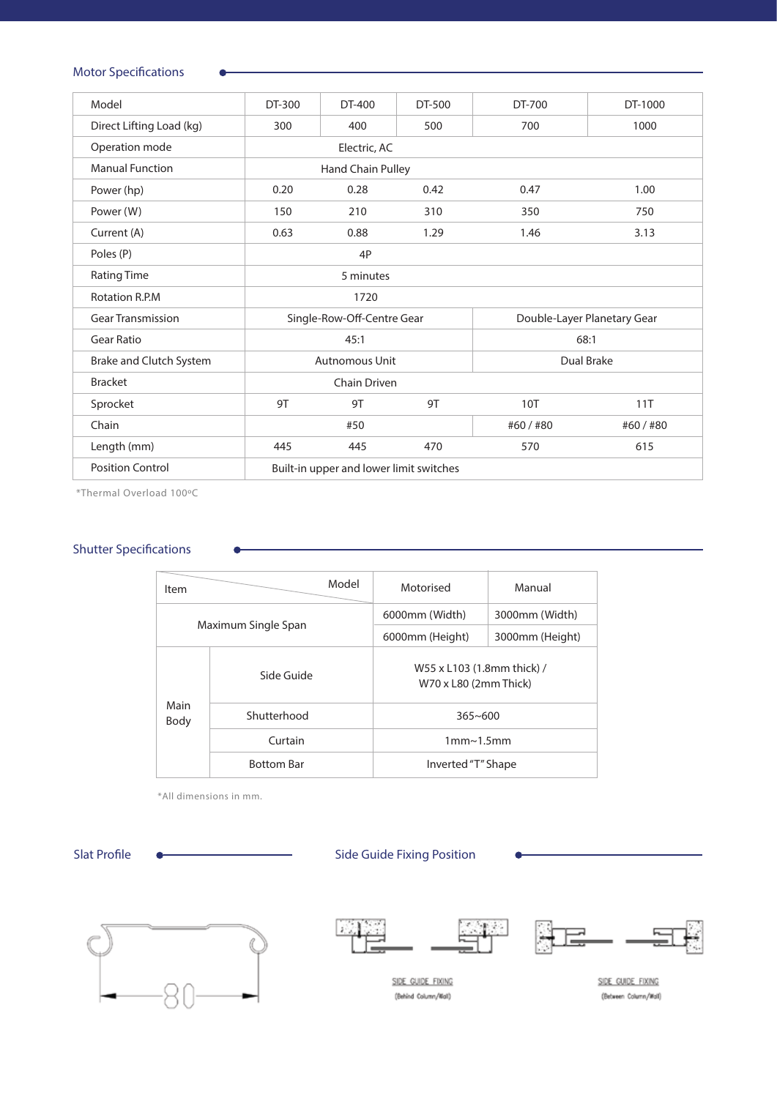## **Motor Specifications**

| Model                    | DT-300                                  | DT-400 | DT-500 | DT-700                      | DT-1000 |
|--------------------------|-----------------------------------------|--------|--------|-----------------------------|---------|
| Direct Lifting Load (kg) | 300                                     | 400    | 500    | 700                         | 1000    |
| Operation mode           | Electric, AC                            |        |        |                             |         |
| <b>Manual Function</b>   | Hand Chain Pulley                       |        |        |                             |         |
| Power (hp)               | 0.20                                    | 0.28   | 0.42   | 0.47                        | 1.00    |
| Power (W)                | 150                                     | 210    | 310    | 350                         | 750     |
| Current (A)              | 0.63                                    | 0.88   | 1.29   | 1.46                        | 3.13    |
| Poles (P)                | 4P                                      |        |        |                             |         |
| <b>Rating Time</b>       | 5 minutes                               |        |        |                             |         |
| <b>Rotation R.P.M</b>    | 1720                                    |        |        |                             |         |
| <b>Gear Transmission</b> | Single-Row-Off-Centre Gear              |        |        | Double-Layer Planetary Gear |         |
| <b>Gear Ratio</b>        | 45:1                                    |        |        | 68:1                        |         |
| Brake and Clutch System  | <b>Autnomous Unit</b>                   |        |        | Dual Brake                  |         |
| <b>Bracket</b>           | Chain Driven                            |        |        |                             |         |
| Sprocket                 | 9T                                      | 9T     | 9T     | <b>10T</b>                  | 11T     |
| Chain                    | #50                                     |        |        | #60/#80                     | #60/#80 |
| Length (mm)              | 445                                     | 445    | 470    | 570                         | 615     |
| <b>Position Control</b>  | Built-in upper and lower limit switches |        |        |                             |         |

*\*Thermal Overload 100ºC*

#### **Shutter Specifications**

| Item                | Model             | Motorised                                           | Manual          |  |
|---------------------|-------------------|-----------------------------------------------------|-----------------|--|
| Maximum Single Span |                   | 6000mm (Width)                                      | 3000mm (Width)  |  |
|                     |                   | 6000mm (Height)                                     | 3000mm (Height) |  |
| Main<br>Body        | Side Guide        | W55 x L103 (1.8mm thick) /<br>W70 x L80 (2mm Thick) |                 |  |
|                     | Shutterhood       | $365 - 600$                                         |                 |  |
|                     | Curtain           | 1mm <sub>1.5mm</sub>                                |                 |  |
|                     | <b>Bottom Bar</b> | Inverted "T" Shape                                  |                 |  |

*\*All dimensions in mm.*

## Slat Profile **Constant Constructed Constrainers** Side Guide Fixing Position









SIDE GUIDE FIXING (Behind Column/Wall)

SIDE GUIDE FIXING (Between Column/Mall)